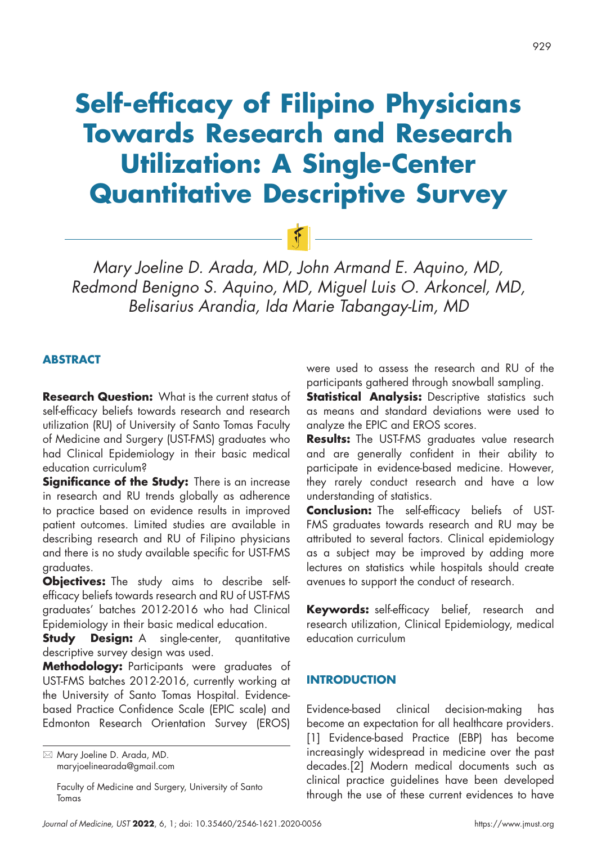# **Self-efficacy of Filipino Physicians Towards Research and Research Utilization: A Single-Center Quantitative Descriptive Survey**

*Mary Joeline D. Arada, MD, John Armand E. Aquino, MD, Redmond Benigno S. Aquino, MD, Miguel Luis O. Arkoncel, MD, Belisarius Arandia, Ida Marie Tabangay-Lim, MD*

 $|F|$ 

# **ABSTRACT**

**Research Question:** What is the current status of self-efficacy beliefs towards research and research utilization (RU) of University of Santo Tomas Faculty of Medicine and Surgery (UST-FMS) graduates who had Clinical Epidemiology in their basic medical education curriculum?

**Significance of the Study:** There is an increase in research and RU trends globally as adherence to practice based on evidence results in improved patient outcomes. Limited studies are available in describing research and RU of Filipino physicians and there is no study available specific for UST-FMS graduates.

**Objectives:** The study aims to describe selfefficacy beliefs towards research and RU of UST-FMS graduates' batches 2012-2016 who had Clinical Epidemiology in their basic medical education.

**Study Design:** A single-center, quantitative descriptive survey design was used.

**Methodology:** Participants were graduates of UST-FMS batches 2012-2016, currently working at the University of Santo Tomas Hospital. Evidencebased Practice Confidence Scale (EPIC scale) and Edmonton Research Orientation Survey (EROS)

Faculty of Medicine and Surgery, University of Santo Tomas

were used to assess the research and RU of the participants gathered through snowball sampling.

**Statistical Analysis:** Descriptive statistics such as means and standard deviations were used to analyze the EPIC and EROS scores.

**Results:** The UST-FMS graduates value research and are generally confident in their ability to participate in evidence-based medicine. However, they rarely conduct research and have a low understanding of statistics.

**Conclusion:** The self-efficacy beliefs of UST-FMS graduates towards research and RU may be attributed to several factors. Clinical epidemiology as a subject may be improved by adding more lectures on statistics while hospitals should create avenues to support the conduct of research.

**Keywords:** self-efficacy belief, research and research utilization, Clinical Epidemiology, medical education curriculum

## **INTRODUCTION**

Evidence-based clinical decision-making has become an expectation for all healthcare providers. [1] Evidence-based Practice (EBP) has become increasingly widespread in medicine over the past decades.[2] Modern medical documents such as clinical practice guidelines have been developed through the use of these current evidences to have

 Mary Joeline D. Arada, MD. maryjoelinearada@gmail.com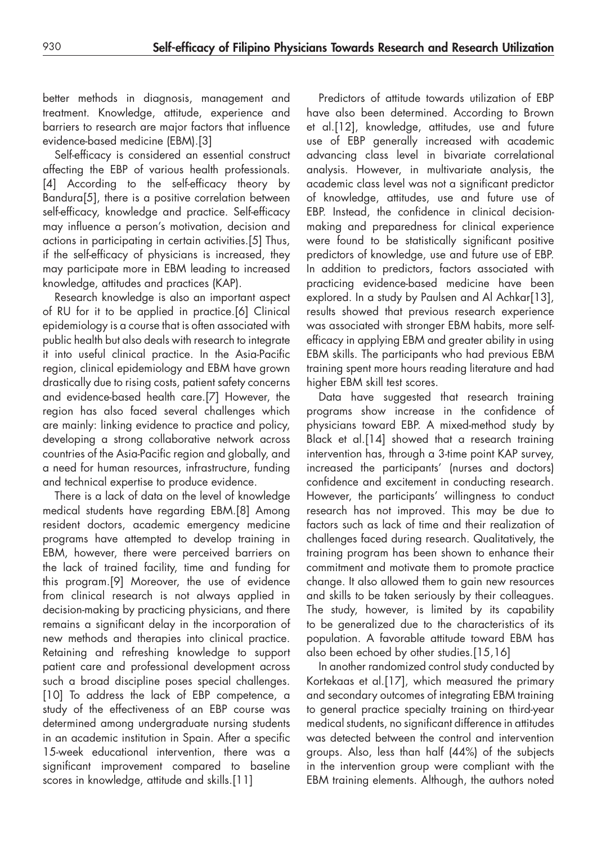better methods in diagnosis, management and treatment. Knowledge, attitude, experience and barriers to research are major factors that influence evidence-based medicine (EBM).[3]

Self-efficacy is considered an essential construct affecting the EBP of various health professionals. [4] According to the self-efficacy theory by Bandura[5], there is a positive correlation between self-efficacy, knowledge and practice. Self-efficacy may influence a person's motivation, decision and actions in participating in certain activities.[5] Thus, if the self-efficacy of physicians is increased, they may participate more in EBM leading to increased knowledge, attitudes and practices (KAP).

Research knowledge is also an important aspect of RU for it to be applied in practice.[6] Clinical epidemiology is a course that is often associated with public health but also deals with research to integrate it into useful clinical practice. In the Asia-Pacific region, clinical epidemiology and EBM have grown drastically due to rising costs, patient safety concerns and evidence-based health care.[7] However, the region has also faced several challenges which are mainly: linking evidence to practice and policy, developing a strong collaborative network across countries of the Asia-Pacific region and globally, and a need for human resources, infrastructure, funding and technical expertise to produce evidence.

There is a lack of data on the level of knowledge medical students have regarding EBM.[8] Among resident doctors, academic emergency medicine programs have attempted to develop training in EBM, however, there were perceived barriers on the lack of trained facility, time and funding for this program.[9] Moreover, the use of evidence from clinical research is not always applied in decision-making by practicing physicians, and there remains a significant delay in the incorporation of new methods and therapies into clinical practice. Retaining and refreshing knowledge to support patient care and professional development across such a broad discipline poses special challenges. [10] To address the lack of EBP competence, a study of the effectiveness of an EBP course was determined among undergraduate nursing students in an academic institution in Spain. After a specific 15-week educational intervention, there was a significant improvement compared to baseline scores in knowledge, attitude and skills.[11]

Predictors of attitude towards utilization of EBP have also been determined. According to Brown et al.[12], knowledge, attitudes, use and future use of EBP generally increased with academic advancing class level in bivariate correlational analysis. However, in multivariate analysis, the academic class level was not a significant predictor of knowledge, attitudes, use and future use of EBP. Instead, the confidence in clinical decisionmaking and preparedness for clinical experience were found to be statistically significant positive predictors of knowledge, use and future use of EBP. In addition to predictors, factors associated with practicing evidence-based medicine have been explored. In a study by Paulsen and Al Achkar<sup>[13]</sup>, results showed that previous research experience was associated with stronger EBM habits, more selfefficacy in applying EBM and greater ability in using EBM skills. The participants who had previous EBM training spent more hours reading literature and had higher EBM skill test scores.

Data have suggested that research training programs show increase in the confidence of physicians toward EBP. A mixed-method study by Black et al.[14] showed that a research training intervention has, through a 3-time point KAP survey, increased the participants' (nurses and doctors) confidence and excitement in conducting research. However, the participants' willingness to conduct research has not improved. This may be due to factors such as lack of time and their realization of challenges faced during research. Qualitatively, the training program has been shown to enhance their commitment and motivate them to promote practice change. It also allowed them to gain new resources and skills to be taken seriously by their colleagues. The study, however, is limited by its capability to be generalized due to the characteristics of its population. A favorable attitude toward EBM has also been echoed by other studies.[15,16]

In another randomized control study conducted by Kortekaas et al.[17], which measured the primary and secondary outcomes of integrating EBM training to general practice specialty training on third-year medical students, no significant difference in attitudes was detected between the control and intervention groups. Also, less than half (44%) of the subjects in the intervention group were compliant with the EBM training elements. Although, the authors noted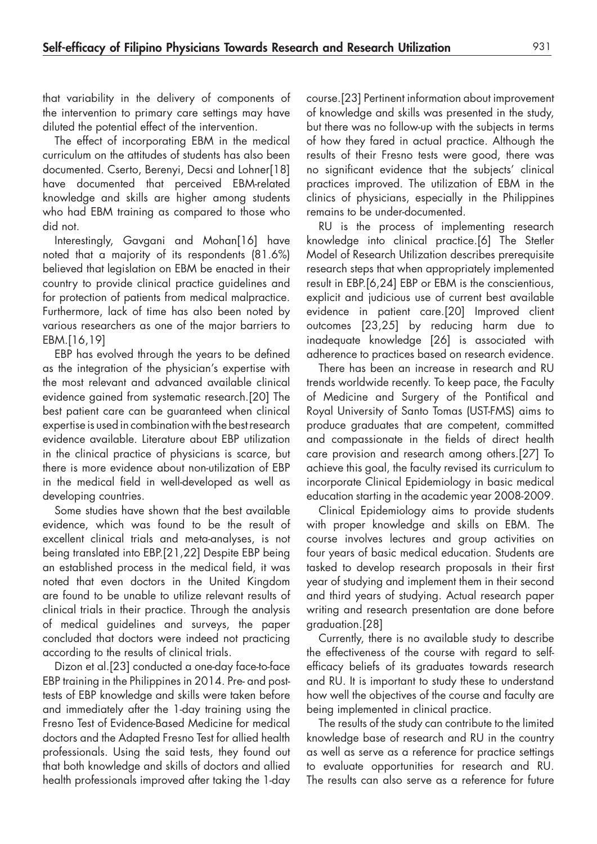that variability in the delivery of components of the intervention to primary care settings may have diluted the potential effect of the intervention.

The effect of incorporating EBM in the medical curriculum on the attitudes of students has also been documented. Cserto, Berenyi, Decsi and Lohner[18] have documented that perceived EBM-related knowledge and skills are higher among students who had EBM training as compared to those who did not.

Interestingly, Gavgani and Mohan[16] have noted that a majority of its respondents (81.6%) believed that legislation on EBM be enacted in their country to provide clinical practice guidelines and for protection of patients from medical malpractice. Furthermore, lack of time has also been noted by various researchers as one of the major barriers to EBM.[16,19]

EBP has evolved through the years to be defined as the integration of the physician's expertise with the most relevant and advanced available clinical evidence gained from systematic research.[20] The best patient care can be guaranteed when clinical expertise is used in combination with the best research evidence available. Literature about EBP utilization in the clinical practice of physicians is scarce, but there is more evidence about non-utilization of EBP in the medical field in well-developed as well as developing countries.

Some studies have shown that the best available evidence, which was found to be the result of excellent clinical trials and meta-analyses, is not being translated into EBP.[21,22] Despite EBP being an established process in the medical field, it was noted that even doctors in the United Kingdom are found to be unable to utilize relevant results of clinical trials in their practice. Through the analysis of medical guidelines and surveys, the paper concluded that doctors were indeed not practicing according to the results of clinical trials.

Dizon et al.[23] conducted a one-day face-to-face EBP training in the Philippines in 2014. Pre- and posttests of EBP knowledge and skills were taken before and immediately after the 1-day training using the Fresno Test of Evidence-Based Medicine for medical doctors and the Adapted Fresno Test for allied health professionals. Using the said tests, they found out that both knowledge and skills of doctors and allied health professionals improved after taking the 1-day

course.[23] Pertinent information about improvement of knowledge and skills was presented in the study, but there was no follow-up with the subjects in terms of how they fared in actual practice. Although the results of their Fresno tests were good, there was no significant evidence that the subjects' clinical practices improved. The utilization of EBM in the clinics of physicians, especially in the Philippines remains to be under-documented.

RU is the process of implementing research knowledge into clinical practice.[6] The Stetler Model of Research Utilization describes prerequisite research steps that when appropriately implemented result in EBP.[6,24] EBP or EBM is the conscientious, explicit and judicious use of current best available evidence in patient care.[20] Improved client outcomes [23,25] by reducing harm due to inadequate knowledge [26] is associated with adherence to practices based on research evidence.

There has been an increase in research and RU trends worldwide recently. To keep pace, the Faculty of Medicine and Surgery of the Pontifical and Royal University of Santo Tomas (UST-FMS) aims to produce graduates that are competent, committed and compassionate in the fields of direct health care provision and research among others.[27] To achieve this goal, the faculty revised its curriculum to incorporate Clinical Epidemiology in basic medical education starting in the academic year 2008-2009.

Clinical Epidemiology aims to provide students with proper knowledge and skills on EBM. The course involves lectures and group activities on four years of basic medical education. Students are tasked to develop research proposals in their first year of studying and implement them in their second and third years of studying. Actual research paper writing and research presentation are done before graduation.[28]

Currently, there is no available study to describe the effectiveness of the course with regard to selfefficacy beliefs of its graduates towards research and RU. It is important to study these to understand how well the objectives of the course and faculty are being implemented in clinical practice.

The results of the study can contribute to the limited knowledge base of research and RU in the country as well as serve as a reference for practice settings to evaluate opportunities for research and RU. The results can also serve as a reference for future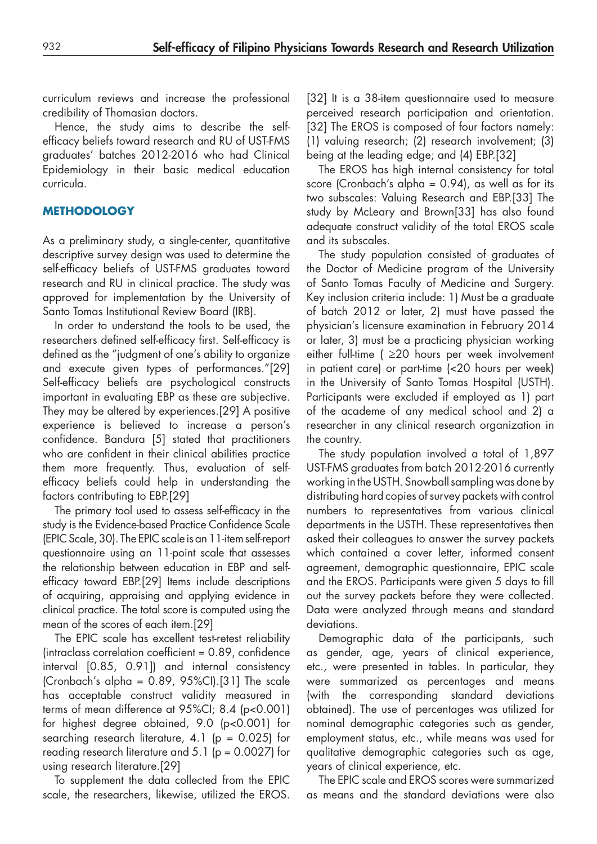curriculum reviews and increase the professional credibility of Thomasian doctors.

Hence, the study aims to describe the selfefficacy beliefs toward research and RU of UST-FMS graduates' batches 2012-2016 who had Clinical Epidemiology in their basic medical education curricula.

# **METHODOLOGY**

As a preliminary study, a single-center, quantitative descriptive survey design was used to determine the self-efficacy beliefs of UST-FMS graduates toward research and RU in clinical practice. The study was approved for implementation by the University of Santo Tomas Institutional Review Board (IRB).

In order to understand the tools to be used, the researchers defined self-efficacy first. Self-efficacy is defined as the "judgment of one's ability to organize and execute given types of performances."[29] Self-efficacy beliefs are psychological constructs important in evaluating EBP as these are subjective. They may be altered by experiences.[29] A positive experience is believed to increase a person's confidence. Bandura [5] stated that practitioners who are confident in their clinical abilities practice them more frequently. Thus, evaluation of selfefficacy beliefs could help in understanding the factors contributing to EBP.[29]

The primary tool used to assess self-efficacy in the study is the Evidence-based Practice Confidence Scale (EPIC Scale, 30). The EPIC scale is an 11-item self-report questionnaire using an 11-point scale that assesses the relationship between education in EBP and selfefficacy toward EBP.[29] Items include descriptions of acquiring, appraising and applying evidence in clinical practice. The total score is computed using the mean of the scores of each item.[29]

The EPIC scale has excellent test-retest reliability  $(intraclass correlation coefficient = 0.89, confidence)$ interval [0.85, 0.91]) and internal consistency (Cronbach's alpha =  $0.89$ ,  $95\%$ CI).[31] The scale has acceptable construct validity measured in terms of mean difference at 95%CI; 8.4 (p<0.001) for highest degree obtained, 9.0 (p<0.001) for searching research literature, 4.1 ( $p = 0.025$ ) for reading research literature and  $5.1$  ( $p = 0.0027$ ) for using research literature.[29]

To supplement the data collected from the EPIC scale, the researchers, likewise, utilized the EROS. [32] It is a 38-item questionnaire used to measure perceived research participation and orientation. [32] The EROS is composed of four factors namely: (1) valuing research; (2) research involvement; (3) being at the leading edge; and (4) EBP.[32]

The EROS has high internal consistency for total score (Cronbach's alpha =  $0.94$ ), as well as for its two subscales: Valuing Research and EBP.[33] The study by McLeary and Brown[33] has also found adequate construct validity of the total EROS scale and its subscales.

The study population consisted of graduates of the Doctor of Medicine program of the University of Santo Tomas Faculty of Medicine and Surgery. Key inclusion criteria include: 1) Must be a graduate of batch 2012 or later, 2) must have passed the physician's licensure examination in February 2014 or later, 3) must be a practicing physician working either full-time ( ≥20 hours per week involvement in patient care) or part-time (<20 hours per week) in the University of Santo Tomas Hospital (USTH). Participants were excluded if employed as 1) part of the academe of any medical school and 2) a researcher in any clinical research organization in the country.

The study population involved a total of 1,897 UST-FMS graduates from batch 2012-2016 currently working in the USTH. Snowball sampling was done by distributing hard copies of survey packets with control numbers to representatives from various clinical departments in the USTH. These representatives then asked their colleagues to answer the survey packets which contained a cover letter, informed consent agreement, demographic questionnaire, EPIC scale and the EROS. Participants were given 5 days to fill out the survey packets before they were collected. Data were analyzed through means and standard deviations.

Demographic data of the participants, such as gender, age, years of clinical experience, etc., were presented in tables. In particular, they were summarized as percentages and means (with the corresponding standard deviations obtained). The use of percentages was utilized for nominal demographic categories such as gender, employment status, etc., while means was used for qualitative demographic categories such as age, years of clinical experience, etc.

The EPIC scale and EROS scores were summarized as means and the standard deviations were also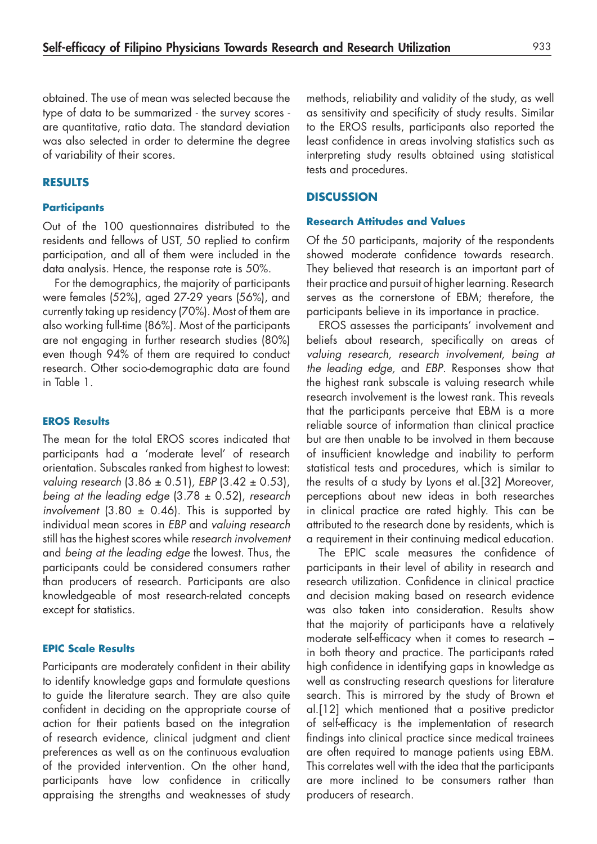obtained. The use of mean was selected because the type of data to be summarized - the survey scores are quantitative, ratio data. The standard deviation was also selected in order to determine the degree of variability of their scores.

## **RESULTS**

#### **Participants**

Out of the 100 questionnaires distributed to the residents and fellows of UST, 50 replied to confirm participation, and all of them were included in the data analysis. Hence, the response rate is 50%.

For the demographics, the majority of participants were females (52%), aged 27-29 years (56%), and currently taking up residency (70%). Most of them are also working full-time (86%). Most of the participants are not engaging in further research studies (80%) even though 94% of them are required to conduct research. Other socio-demographic data are found in Table 1.

#### **EROS Results**

The mean for the total EROS scores indicated that participants had a 'moderate level' of research orientation. Subscales ranked from highest to lowest: *valuing research* (3.86 ± 0.51)*, EBP* (3.42 ± 0.53), *being at the leading edge* (3.78 ± 0.52), *research involvement*  $(3.80 \pm 0.46)$ . This is supported by individual mean scores in *EBP* and *valuing research*  still has the highest scores while *research involvement*  and *being at the leading edge* the lowest. Thus, the participants could be considered consumers rather than producers of research. Participants are also knowledgeable of most research-related concepts except for statistics.

#### **EPIC Scale Results**

Participants are moderately confident in their ability to identify knowledge gaps and formulate questions to guide the literature search. They are also quite confident in deciding on the appropriate course of action for their patients based on the integration of research evidence, clinical judgment and client preferences as well as on the continuous evaluation of the provided intervention. On the other hand, participants have low confidence in critically appraising the strengths and weaknesses of study

methods, reliability and validity of the study, as well as sensitivity and specificity of study results. Similar to the EROS results, participants also reported the least confidence in areas involving statistics such as interpreting study results obtained using statistical tests and procedures.

#### **DISCUSSION**

#### **Research Attitudes and Values**

Of the 50 participants, majority of the respondents showed moderate confidence towards research. They believed that research is an important part of their practice and pursuit of higher learning. Research serves as the cornerstone of EBM; therefore, the participants believe in its importance in practice.

EROS assesses the participants' involvement and beliefs about research, specifically on areas of *valuing research, research involvement, being at the leading edge,* and *EBP*. Responses show that the highest rank subscale is valuing research while research involvement is the lowest rank. This reveals that the participants perceive that EBM is a more reliable source of information than clinical practice but are then unable to be involved in them because of insufficient knowledge and inability to perform statistical tests and procedures, which is similar to the results of a study by Lyons et al.[32] Moreover, perceptions about new ideas in both researches in clinical practice are rated highly. This can be attributed to the research done by residents, which is a requirement in their continuing medical education.

The EPIC scale measures the confidence of participants in their level of ability in research and research utilization. Confidence in clinical practice and decision making based on research evidence was also taken into consideration. Results show that the majority of participants have a relatively moderate self-efficacy when it comes to research – in both theory and practice. The participants rated high confidence in identifying gaps in knowledge as well as constructing research questions for literature search. This is mirrored by the study of Brown et al.[12] which mentioned that a positive predictor of self-efficacy is the implementation of research findings into clinical practice since medical trainees are often required to manage patients using EBM. This correlates well with the idea that the participants are more inclined to be consumers rather than producers of research.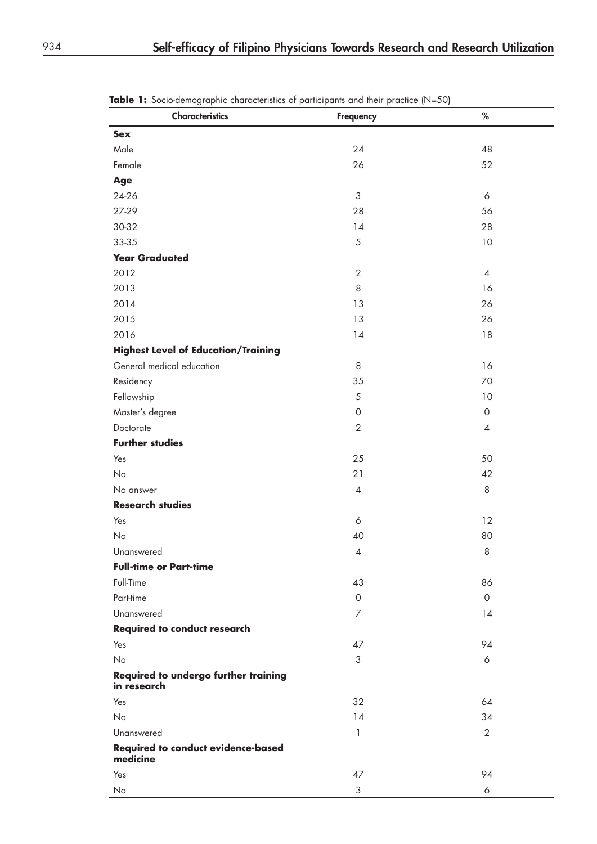| Characteristics                                       | Frequency           | $\%$           |
|-------------------------------------------------------|---------------------|----------------|
| <b>Sex</b>                                            |                     |                |
| Male                                                  | 24                  | 48             |
| Female                                                | 26                  | 52             |
| Age                                                   |                     |                |
| 24-26                                                 | $\sqrt{3}$          | 6              |
| 27-29                                                 | 28                  | 56             |
| 30-32                                                 | 14                  | 28             |
| 33-35                                                 | $\sqrt{5}$          | $10$           |
| <b>Year Graduated</b>                                 |                     |                |
| 2012                                                  | $\mathbf{2}$        | $\overline{4}$ |
| 2013                                                  | 8                   | 16             |
| 2014                                                  | 13                  | 26             |
| 2015                                                  | 13                  | 26             |
| 2016                                                  | 14                  | 18             |
| <b>Highest Level of Education/Training</b>            |                     |                |
| General medical education                             | 8                   | 16             |
| Residency                                             | 35                  | 70             |
| Fellowship                                            | $\sqrt{5}$          | 10             |
| Master's degree                                       | $\mathsf{O}\xspace$ | $\circ$        |
| Doctorate                                             | $\overline{2}$      | $\overline{4}$ |
| <b>Further studies</b>                                |                     |                |
| Yes                                                   | 25                  | 50             |
| No                                                    | 21                  | 42             |
| No answer                                             | $\pmb{4}$           | 8              |
| <b>Research studies</b>                               |                     |                |
| Yes                                                   | 6                   | 12             |
| No                                                    | 40                  | 80             |
| Unanswered                                            | $\overline{4}$      | $\,8\,$        |
| <b>Full-time or Part-time</b>                         |                     |                |
| Full-Time                                             | 43                  | 86             |
| Part-time                                             | $\mathbf 0$         | $\circ$        |
| Unanswered                                            | $\overline{7}$      | 14             |
| <b>Required to conduct research</b>                   |                     |                |
| Yes                                                   | 47                  | 94             |
| No                                                    | 3                   | 6              |
| Required to undergo further training<br>in research   |                     |                |
| Yes                                                   | 32                  | 64             |
| No                                                    | 14                  | 34             |
| Unanswered                                            | 1                   | $\overline{2}$ |
| <b>Required to conduct evidence-based</b><br>medicine |                     |                |
| Yes                                                   | 47                  | 94             |
| No                                                    | 3                   | 6              |

**Table 1:** Socio-demographic characteristics of participants and their practice (N=50)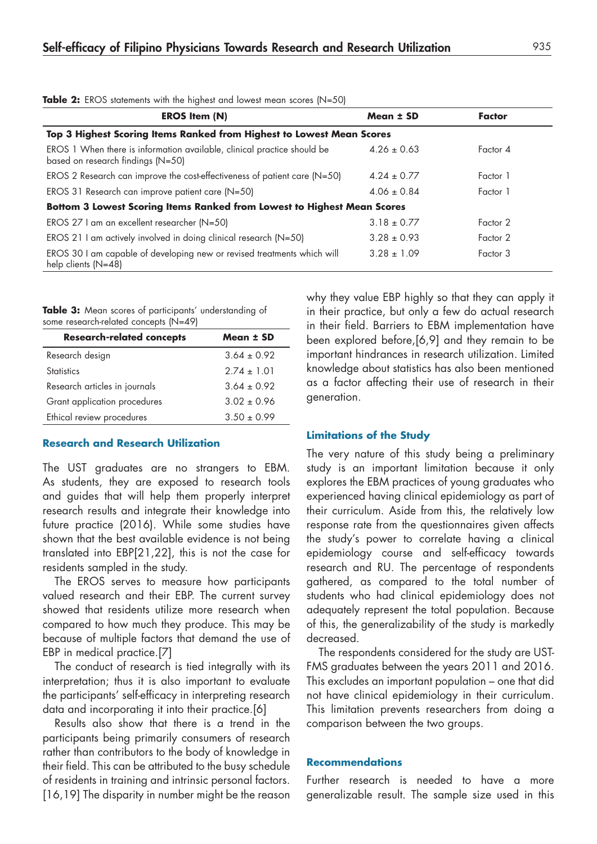| <b>EROS Item (N)</b>                                                                                         | Mean ± SD       | Factor   |
|--------------------------------------------------------------------------------------------------------------|-----------------|----------|
| Top 3 Highest Scoring Items Ranked from Highest to Lowest Mean Scores                                        |                 |          |
| EROS 1 When there is information available, clinical practice should be<br>based on research findings (N=50) | $4.26 \pm 0.63$ | Factor 4 |
| EROS 2 Research can improve the cost-effectiveness of patient care (N=50)                                    | $4.24 \pm 0.77$ | Factor 1 |
| EROS 31 Research can improve patient care (N=50)                                                             | $4.06 \pm 0.84$ | Factor 1 |
| Bottom 3 Lowest Scoring Items Ranked from Lowest to Highest Mean Scores                                      |                 |          |
| EROS 27 I am an excellent researcher (N=50)                                                                  | $3.18 \pm 0.77$ | Factor 2 |
| EROS 21 I am actively involved in doing clinical research (N=50)                                             | $3.28 \pm 0.93$ | Factor 2 |
| EROS 30 I am capable of developing new or revised treatments which will<br>help clients $(N=48)$             | $3.28 \pm 1.09$ | Factor 3 |

**Table 2:** EROS statements with the highest and lowest mean scores (N=50)

**Table 3:** Mean scores of participants' understanding of some research-related concepts (N=49)

| <b>Research-related concepts</b> | Mean ± SD       |
|----------------------------------|-----------------|
| Research design                  | $3.64 \pm 0.92$ |
| <b>Statistics</b>                | $2.74 + 1.01$   |
| Research articles in journals    | $3.64 + 0.92$   |
| Grant application procedures     | $3.02 + 0.96$   |
| Ethical review procedures        | $3.50 \pm 0.99$ |
|                                  |                 |

## **Research and Research Utilization**

The UST graduates are no strangers to EBM. As students, they are exposed to research tools and guides that will help them properly interpret research results and integrate their knowledge into future practice (2016). While some studies have shown that the best available evidence is not being translated into EBP[21,22], this is not the case for residents sampled in the study.

The EROS serves to measure how participants valued research and their EBP. The current survey showed that residents utilize more research when compared to how much they produce. This may be because of multiple factors that demand the use of EBP in medical practice.[7]

The conduct of research is tied integrally with its interpretation; thus it is also important to evaluate the participants' self-efficacy in interpreting research data and incorporating it into their practice.[6]

Results also show that there is a trend in the participants being primarily consumers of research rather than contributors to the body of knowledge in their field. This can be attributed to the busy schedule of residents in training and intrinsic personal factors. [16,19] The disparity in number might be the reason

why they value EBP highly so that they can apply it in their practice, but only a few do actual research in their field. Barriers to EBM implementation have been explored before,[6,9] and they remain to be important hindrances in research utilization. Limited knowledge about statistics has also been mentioned as a factor affecting their use of research in their generation.

#### **Limitations of the Study**

The very nature of this study being a preliminary study is an important limitation because it only explores the EBM practices of young graduates who experienced having clinical epidemiology as part of their curriculum. Aside from this, the relatively low response rate from the questionnaires given affects the study's power to correlate having a clinical epidemiology course and self-efficacy towards research and RU. The percentage of respondents gathered, as compared to the total number of students who had clinical epidemiology does not adequately represent the total population. Because of this, the generalizability of the study is markedly decreased.

The respondents considered for the study are UST-FMS graduates between the years 2011 and 2016. This excludes an important population – one that did not have clinical epidemiology in their curriculum. This limitation prevents researchers from doing a comparison between the two groups.

#### **Recommendations**

Further research is needed to have a more generalizable result. The sample size used in this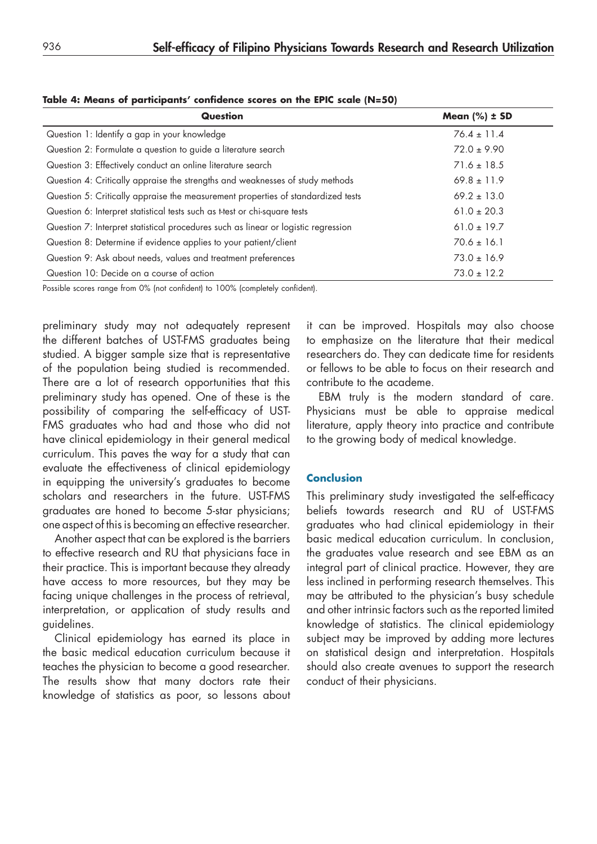| <b>Question</b>                                                                    | Mean $(\%) \pm SD$ |
|------------------------------------------------------------------------------------|--------------------|
| Question 1: Identify a gap in your knowledge                                       | $76.4 \pm 11.4$    |
| Question 2: Formulate a question to guide a literature search                      | $72.0 \pm 9.90$    |
| Question 3: Effectively conduct an online literature search                        | $71.6 \pm 18.5$    |
| Question 4: Critically appraise the strengths and weaknesses of study methods      | $69.8 \pm 11.9$    |
| Question 5: Critically appraise the measurement properties of standardized tests   | $69.2 \pm 13.0$    |
| Question 6: Interpret statistical tests such as t-test or chi-square tests         | $61.0 \pm 20.3$    |
| Question 7: Interpret statistical procedures such as linear or logistic regression | $61.0 \pm 19.7$    |
| Question 8: Determine if evidence applies to your patient/client                   | $70.6 \pm 16.1$    |
| Question 9: Ask about needs, values and treatment preferences                      | $73.0 \pm 16.9$    |
| Question 10: Decide on a course of action                                          | $73.0 \pm 12.2$    |

**Table 4: Means of participants' confidence scores on the EPIC scale (N=50)**

Possible scores range from 0% (not confident) to 100% (completely confident).

preliminary study may not adequately represent the different batches of UST-FMS graduates being studied. A bigger sample size that is representative of the population being studied is recommended. There are a lot of research opportunities that this preliminary study has opened. One of these is the possibility of comparing the self-efficacy of UST-FMS graduates who had and those who did not have clinical epidemiology in their general medical curriculum. This paves the way for a study that can evaluate the effectiveness of clinical epidemiology in equipping the university's graduates to become scholars and researchers in the future. UST-FMS graduates are honed to become 5-star physicians; one aspect of this is becoming an effective researcher.

Another aspect that can be explored is the barriers to effective research and RU that physicians face in their practice. This is important because they already have access to more resources, but they may be facing unique challenges in the process of retrieval, interpretation, or application of study results and guidelines.

Clinical epidemiology has earned its place in the basic medical education curriculum because it teaches the physician to become a good researcher. The results show that many doctors rate their knowledge of statistics as poor, so lessons about

it can be improved. Hospitals may also choose to emphasize on the literature that their medical researchers do. They can dedicate time for residents or fellows to be able to focus on their research and contribute to the academe.

EBM truly is the modern standard of care. Physicians must be able to appraise medical literature, apply theory into practice and contribute to the growing body of medical knowledge.

## **Conclusion**

This preliminary study investigated the self-efficacy beliefs towards research and RU of UST-FMS graduates who had clinical epidemiology in their basic medical education curriculum. In conclusion, the graduates value research and see EBM as an integral part of clinical practice. However, they are less inclined in performing research themselves. This may be attributed to the physician's busy schedule and other intrinsic factors such as the reported limited knowledge of statistics. The clinical epidemiology subject may be improved by adding more lectures on statistical design and interpretation. Hospitals should also create avenues to support the research conduct of their physicians.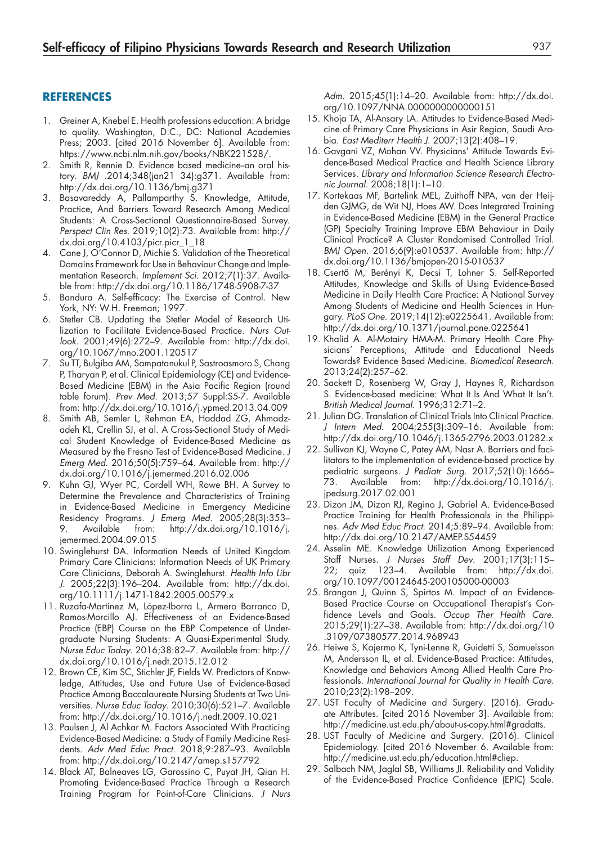#### **REFERENCES**

- 1. Greiner A, Knebel E. Health professions education: A bridge to quality. Washington, D.C., DC: National Academies Press; 2003. [cited 2016 November 6]. Available from: [https://www.ncbi.nlm.nih.gov/books/NBK221528/.](https://www.ncbi.nlm.nih.gov/books/NBK221528/)
- 2. Smith R, Rennie D. Evidence based medicine-an oral history. *BMJ* .2014;348(jan21 34):g371. Available from: <http://dx.doi.org/10.1136/bmj.g371>
- 3. Basavareddy A, Pallamparthy S. Knowledge, Attitude, Practice, And Barriers Toward Research Among Medical Students: A Cross-Sectional Questionnaire-Based Survey. *Perspect Clin Res*. 2019;10(2):73. Available from: [http://](http://dx.doi.org/10.4103/picr.picr_1_18) [dx.doi.org/10.4103/picr.picr\\_1\\_18](http://dx.doi.org/10.4103/picr.picr_1_18)
- 4. Cane J, O'Connor D, Michie S. Validation of the Theoretical Domains Framework for Use in Behaviour Change and Implementation Research. *Implement Sci.* 2012;7(1):37. Available from:<http://dx.doi.org/10.1186/1748-5908-7-37>
- 5. Bandura A. Self-efficacy: The Exercise of Control. New York, NY: W.H. Freeman; 1997.
- 6. Stetler CB. Updating the Stetler Model of Research Utilization to Facilitate Evidence-Based Practice. *Nurs Outlook*. 2001;49(6):272–9. Available from: [http://dx.doi.](http://dx.doi.org/10.1067/mno.2001.120517) [org/10.1067/mno.2001.120517](http://dx.doi.org/10.1067/mno.2001.120517)
- 7. Su TT, Bulgiba AM, Sampatanukul P, Sastroasmoro S, Chang P, Tharyan P, et al. Clinical Epidemiology (CE) and Evidence-Based Medicine (EBM) in the Asia Pacific Region (round table forum). *Prev Med*. 2013;57 Suppl:S5-7. Available from: <http://dx.doi.org/10.1016/j.ypmed.2013.04.009>
- 8. Smith AB, Semler L, Rehman EA, Haddad ZG, Ahmadzadeh KL, Crellin SJ, et al. A Cross-Sectional Study of Medical Student Knowledge of Evidence-Based Medicine as Measured by the Fresno Test of Evidence-Based Medicine. *J Emerg Med*. 2016;50(5):759–64. Available from: [http://](http://dx.doi.org/10.1016/j.jemermed.2016.02.006) [dx.doi.org/10.1016/j.jemermed.2016.02.006](http://dx.doi.org/10.1016/j.jemermed.2016.02.006)
- 9. Kuhn GJ, Wyer PC, Cordell WH, Rowe BH. A Survey to Determine the Prevalence and Characteristics of Training in Evidence-Based Medicine in Emergency Medicine Residency Programs. *J Emerg Med*. 2005;28(3):353– 9. Available from: [http://dx.doi.org/10.1016/j.](http://dx.doi.org/10.1016/j.jemermed.2004.09.015) [jemermed.2004.09.015](http://dx.doi.org/10.1016/j.jemermed.2004.09.015)
- 10. Swinglehurst DA. Information Needs of United Kingdom Primary Care Clinicians: Information Needs of UK Primary Care Clinicians, Deborah A. Swinglehurst. *Health Info Libr J*. 2005;22(3):196–204. Available from: [http://dx.doi.](http://dx.doi.org/10.1111/j.1471-1842.2005.00579.x) [org/10.1111/j.1471-1842.2005.00579.x](http://dx.doi.org/10.1111/j.1471-1842.2005.00579.x)
- 11. Ruzafa-Martínez M, López-Iborra L, Armero Barranco D, Ramos-Morcillo AJ. Effectiveness of an Evidence-Based Practice (EBP) Course on the EBP Competence of Undergraduate Nursing Students: A Quasi-Experimental Study. *Nurse Educ Today*. 2016;38:82–7. Available from: [http://](http://dx.doi.org/10.1016/j.nedt.2015.12.012) [dx.doi.org/10.1016/j.nedt.2015.12.012](http://dx.doi.org/10.1016/j.nedt.2015.12.012)
- 12. Brown CE, Kim SC, Stichler JF, Fields W. Predictors of Knowledge, Attitudes, Use and Future Use of Evidence-Based Practice Among Baccalaureate Nursing Students at Two Universities. *Nurse Educ Today*. 2010;30(6):521–7. Available from: <http://dx.doi.org/10.1016/j.nedt.2009.10.021>
- 13. Paulsen J, Al Achkar M. Factors Associated With Practicing Evidence-Based Medicine: a Study of Family Medicine Residents. *Adv Med Educ Pract*. 2018;9:287–93. Available from: <http://dx.doi.org/10.2147/amep.s157792>
- 14. Black AT, Balneaves LG, Garossino C, Puyat JH, Qian H. Promoting Evidence-Based Practice Through a Research Training Program for Point-of-Care Clinicians. *J Nurs*

*Adm*. 2015;45(1):14–20. Available from: [http://dx.doi.](http://dx.doi.org/10.1097/NNA.0000000000000151) [org/10.1097/NNA.0000000000000151](http://dx.doi.org/10.1097/NNA.0000000000000151)

- 15. Khoja TA, Al-Ansary LA. Attitudes to Evidence-Based Medicine of Primary Care Physicians in Asir Region, Saudi Arabia. *East Mediterr Health J*. 2007;13(2):408–19.
- 16. Gavgani VZ, Mohan VV. Physicians' Attitude Towards Evidence-Based Medical Practice and Health Science Library Services. *Library and Information Science Research Electronic Journal*. 2008;18(1):1–10.
- 17. Kortekaas MF, Bartelink MEL, Zuithoff NPA, van der Heijden GJMG, de Wit NJ, Hoes AW. Does Integrated Training in Evidence-Based Medicine (EBM) in the General Practice (GP) Specialty Training Improve EBM Behaviour in Daily Clinical Practice? A Cluster Randomised Controlled Trial. *BMJ Open*. 2016;6(9):e010537. Available from: [http://](http://dx.doi.org/10.1136/bmjopen-2015-010537) [dx.doi.org/10.1136/bmjopen-2015-010537](http://dx.doi.org/10.1136/bmjopen-2015-010537)
- 18. Csertő M, Berényi K, Decsi T, Lohner S. Self-Reported Attitudes, Knowledge and Skills of Using Evidence-Based Medicine in Daily Health Care Practice: A National Survey Among Students of Medicine and Health Sciences in Hungary. *PLoS One*. 2019;14(12):e0225641. Available from: <http://dx.doi.org/10.1371/journal.pone.0225641>
- 19. Khalid A. Al-Motairy HMA-M. Primary Health Care Physicians' Perceptions, Attitude and Educational Needs Towards? Evidence Based Medicine. *Biomedical Research*. 2013;24(2):257–62.
- 20. Sackett D, Rosenberg W, Gray J, Haynes R, Richardson S. Evidence-based medicine: What It Is And What It Isn't. *British Medical Journal*. 1996;312:71–2.
- 21. Julian DG. Translation of Clinical Trials Into Clinical Practice. *J Intern Med*. 2004;255(3):309–16. Available from: <http://dx.doi.org/10.1046/j.1365-2796.2003.01282.x>
- 22. Sullivan KJ, Wayne C, Patey AM, Nasr A. Barriers and facilitators to the implementation of evidence-based practice by pediatric surgeons. *J Pediatr Surg*. 2017;52(10):1666– 73. Available from: [http://dx.doi.org/10.1016/j.](http://dx.doi.org/10.1016/j.jpedsurg.2017.02.001) [jpedsurg.2017.02.001](http://dx.doi.org/10.1016/j.jpedsurg.2017.02.001)
- 23. Dizon JM, Dizon RJ, Regino J, Gabriel A. Evidence-Based Practice Training for Health Professionals in the Philippines. *Adv Med Educ Pract*. 2014;5:89–94. Available from: <http://dx.doi.org/10.2147/AMEP.S54459>
- 24. Asselin ME. Knowledge Utilization Among Experienced Staff Nurses. *J Nurses Staff Dev*. 2001;17(3):115– 22; quiz 123–4. Available from: [http://dx.doi.](http://dx.doi.org/10.1097/00124645-200105000-00003) [org/10.1097/00124645-200105000-00003](http://dx.doi.org/10.1097/00124645-200105000-00003)
- 25. Brangan J, Quinn S, Spirtos M. Impact of an Evidence-Based Practice Course on Occupational Therapist's Confidence Levels and Goals. *Occup Ther Health Care*. 2015;29(1):27–38. Available from: [http://dx.doi.org/10](http://dx.doi.org/10.3109/07380577.2014.968943) [.3109/07380577.2014.968943](http://dx.doi.org/10.3109/07380577.2014.968943)
- 26. Heiwe S, Kajermo K, Tyni-Lenne R, Guidetti S, Samuelsson M, Andersson IL, et al. Evidence-Based Practice: Attitudes, Knowledge and Behaviors Among Allied Health Care Professionals. *International Journal for Quality in Health Care*. 2010;23(2):198–209.
- 27. UST Faculty of Medicine and Surgery*.* (2016). Graduate Attributes. [cited 2016 November 3]. Available from: [http://medicine.ust.edu.ph/about-us-copy.html#gradatts.](http://medicine.ust.edu.ph/about-us-copy.html#gradatts)
- 28. UST Faculty of Medicine and Surgery*.* (2016). Clinical Epidemiology. [cited 2016 November 6. Available from: [http://medicine.ust.edu.ph/education.html#cliep.](http://medicine.ust.edu.ph/education.html#cliep)
- 29. Salbach NM, Jaglal SB, Williams JI. Reliability and Validity of the Evidence-Based Practice Confidence (EPIC) Scale.